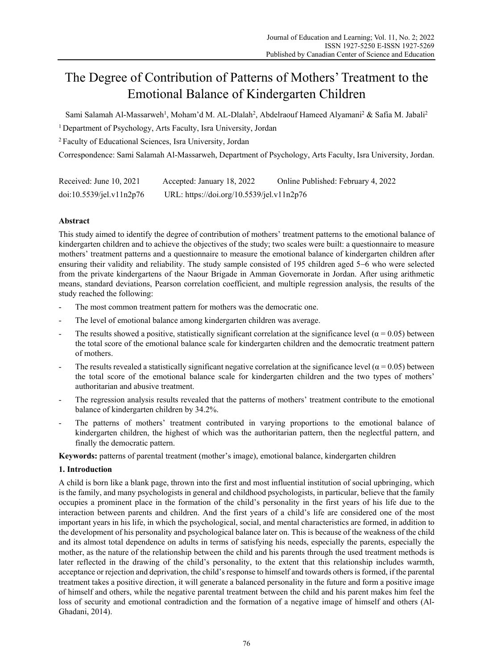# The Degree of Contribution of Patterns of Mothers' Treatment to the Emotional Balance of Kindergarten Children

Sami Salamah Al-Massarweh<sup>1</sup>, Moham'd M. AL-Dlalah<sup>2</sup>, Abdelraouf Hameed Alyamani<sup>2</sup> & Safia M. Jabali<sup>2</sup>

1 Department of Psychology, Arts Faculty, Isra University, Jordan

2 Faculty of Educational Sciences, Isra University, Jordan

Correspondence: Sami Salamah Al-Massarweh, Department of Psychology, Arts Faculty, Isra University, Jordan.

| Received: June $10, 2021$ | Accepted: January 18, 2022                | Online Published: February 4, 2022 |
|---------------------------|-------------------------------------------|------------------------------------|
| doi:10.5539/jel.v11n2p76  | URL: https://doi.org/10.5539/jel.v11n2p76 |                                    |

# **Abstract**

This study aimed to identify the degree of contribution of mothers' treatment patterns to the emotional balance of kindergarten children and to achieve the objectives of the study; two scales were built: a questionnaire to measure mothers' treatment patterns and a questionnaire to measure the emotional balance of kindergarten children after ensuring their validity and reliability. The study sample consisted of 195 children aged 5–6 who were selected from the private kindergartens of the Naour Brigade in Amman Governorate in Jordan. After using arithmetic means, standard deviations, Pearson correlation coefficient, and multiple regression analysis, the results of the study reached the following:

- The most common treatment pattern for mothers was the democratic one.
- The level of emotional balance among kindergarten children was average.
- The results showed a positive, statistically significant correlation at the significance level ( $\alpha$  = 0.05) between the total score of the emotional balance scale for kindergarten children and the democratic treatment pattern of mothers.
- The results revealed a statistically significant negative correlation at the significance level ( $\alpha$  = 0.05) between the total score of the emotional balance scale for kindergarten children and the two types of mothers' authoritarian and abusive treatment.
- The regression analysis results revealed that the patterns of mothers' treatment contribute to the emotional balance of kindergarten children by 34.2%.
- The patterns of mothers' treatment contributed in varying proportions to the emotional balance of kindergarten children, the highest of which was the authoritarian pattern, then the neglectful pattern, and finally the democratic pattern.

**Keywords:** patterns of parental treatment (mother's image), emotional balance, kindergarten children

# **1. Introduction**

A child is born like a blank page, thrown into the first and most influential institution of social upbringing, which is the family, and many psychologists in general and childhood psychologists, in particular, believe that the family occupies a prominent place in the formation of the child's personality in the first years of his life due to the interaction between parents and children. And the first years of a child's life are considered one of the most important years in his life, in which the psychological, social, and mental characteristics are formed, in addition to the development of his personality and psychological balance later on. This is because of the weakness of the child and its almost total dependence on adults in terms of satisfying his needs, especially the parents, especially the mother, as the nature of the relationship between the child and his parents through the used treatment methods is later reflected in the drawing of the child's personality, to the extent that this relationship includes warmth, acceptance or rejection and deprivation, the child's response to himself and towards others is formed, if the parental treatment takes a positive direction, it will generate a balanced personality in the future and form a positive image of himself and others, while the negative parental treatment between the child and his parent makes him feel the loss of security and emotional contradiction and the formation of a negative image of himself and others (Al-Ghadani, 2014).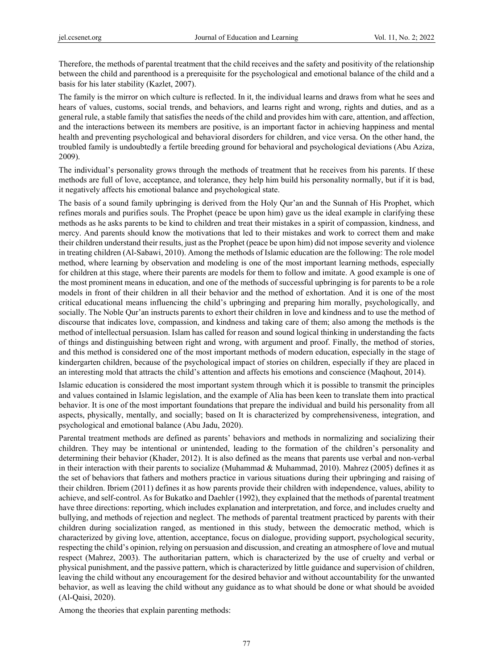Therefore, the methods of parental treatment that the child receives and the safety and positivity of the relationship between the child and parenthood is a prerequisite for the psychological and emotional balance of the child and a basis for his later stability (Kazlet, 2007).

The family is the mirror on which culture is reflected. In it, the individual learns and draws from what he sees and hears of values, customs, social trends, and behaviors, and learns right and wrong, rights and duties, and as a general rule, a stable family that satisfies the needs of the child and provides him with care, attention, and affection, and the interactions between its members are positive, is an important factor in achieving happiness and mental health and preventing psychological and behavioral disorders for children, and vice versa. On the other hand, the troubled family is undoubtedly a fertile breeding ground for behavioral and psychological deviations (Abu Aziza, 2009).

The individual's personality grows through the methods of treatment that he receives from his parents. If these methods are full of love, acceptance, and tolerance, they help him build his personality normally, but if it is bad, it negatively affects his emotional balance and psychological state.

The basis of a sound family upbringing is derived from the Holy Qur'an and the Sunnah of His Prophet, which refines morals and purifies souls. The Prophet (peace be upon him) gave us the ideal example in clarifying these methods as he asks parents to be kind to children and treat their mistakes in a spirit of compassion, kindness, and mercy. And parents should know the motivations that led to their mistakes and work to correct them and make their children understand their results, just as the Prophet (peace be upon him) did not impose severity and violence in treating children (Al-Sabawi, 2010). Among the methods of Islamic education are the following: The role model method, where learning by observation and modeling is one of the most important learning methods, especially for children at this stage, where their parents are models for them to follow and imitate. A good example is one of the most prominent means in education, and one of the methods of successful upbringing is for parents to be a role models in front of their children in all their behavior and the method of exhortation. And it is one of the most critical educational means influencing the child's upbringing and preparing him morally, psychologically, and socially. The Noble Qur'an instructs parents to exhort their children in love and kindness and to use the method of discourse that indicates love, compassion, and kindness and taking care of them; also among the methods is the method of intellectual persuasion. Islam has called for reason and sound logical thinking in understanding the facts of things and distinguishing between right and wrong, with argument and proof. Finally, the method of stories, and this method is considered one of the most important methods of modern education, especially in the stage of kindergarten children, because of the psychological impact of stories on children, especially if they are placed in an interesting mold that attracts the child's attention and affects his emotions and conscience (Maqhout, 2014).

Islamic education is considered the most important system through which it is possible to transmit the principles and values contained in Islamic legislation, and the example of Alia has been keen to translate them into practical behavior. It is one of the most important foundations that prepare the individual and build his personality from all aspects, physically, mentally, and socially; based on It is characterized by comprehensiveness, integration, and psychological and emotional balance (Abu Jadu, 2020).

Parental treatment methods are defined as parents' behaviors and methods in normalizing and socializing their children. They may be intentional or unintended, leading to the formation of the children's personality and determining their behavior (Khader, 2012). It is also defined as the means that parents use verbal and non-verbal in their interaction with their parents to socialize (Muhammad & Muhammad, 2010). Mahrez (2005) defines it as the set of behaviors that fathers and mothers practice in various situations during their upbringing and raising of their children. Ibriem (2011) defines it as how parents provide their children with independence, values, ability to achieve, and self-control. As for Bukatko and Daehler (1992), they explained that the methods of parental treatment have three directions: reporting, which includes explanation and interpretation, and force, and includes cruelty and bullying, and methods of rejection and neglect. The methods of parental treatment practiced by parents with their children during socialization ranged, as mentioned in this study, between the democratic method, which is characterized by giving love, attention, acceptance, focus on dialogue, providing support, psychological security, respecting the child's opinion, relying on persuasion and discussion, and creating an atmosphere of love and mutual respect (Mahrez, 2003). The authoritarian pattern, which is characterized by the use of cruelty and verbal or physical punishment, and the passive pattern, which is characterized by little guidance and supervision of children, leaving the child without any encouragement for the desired behavior and without accountability for the unwanted behavior, as well as leaving the child without any guidance as to what should be done or what should be avoided (Al-Qaisi, 2020).

Among the theories that explain parenting methods: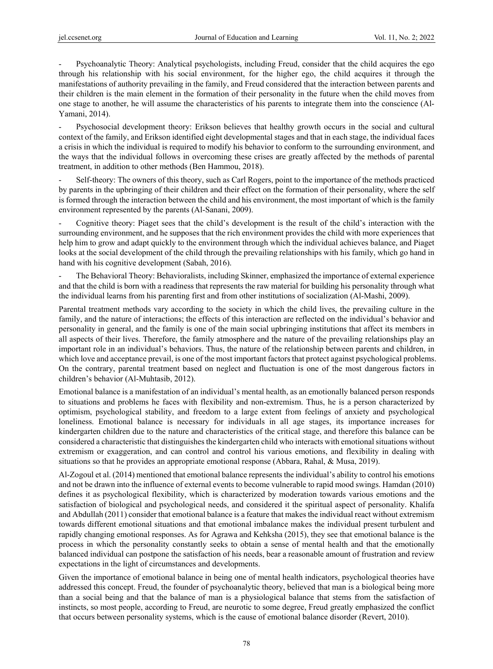- Psychoanalytic Theory: Analytical psychologists, including Freud, consider that the child acquires the ego through his relationship with his social environment, for the higher ego, the child acquires it through the manifestations of authority prevailing in the family, and Freud considered that the interaction between parents and their children is the main element in the formation of their personality in the future when the child moves from one stage to another, he will assume the characteristics of his parents to integrate them into the conscience (Al-Yamani, 2014).

Psychosocial development theory: Erikson believes that healthy growth occurs in the social and cultural context of the family, and Erikson identified eight developmental stages and that in each stage, the individual faces a crisis in which the individual is required to modify his behavior to conform to the surrounding environment, and the ways that the individual follows in overcoming these crises are greatly affected by the methods of parental treatment, in addition to other methods (Ben Hammou, 2018).

Self-theory: The owners of this theory, such as Carl Rogers, point to the importance of the methods practiced by parents in the upbringing of their children and their effect on the formation of their personality, where the self is formed through the interaction between the child and his environment, the most important of which is the family environment represented by the parents (Al-Sanani, 2009).

- Cognitive theory: Piaget sees that the child's development is the result of the child's interaction with the surrounding environment, and he supposes that the rich environment provides the child with more experiences that help him to grow and adapt quickly to the environment through which the individual achieves balance, and Piaget looks at the social development of the child through the prevailing relationships with his family, which go hand in hand with his cognitive development (Sabah, 2016).

- The Behavioral Theory: Behavioralists, including Skinner, emphasized the importance of external experience and that the child is born with a readiness that represents the raw material for building his personality through what the individual learns from his parenting first and from other institutions of socialization (Al-Mashi, 2009).

Parental treatment methods vary according to the society in which the child lives, the prevailing culture in the family, and the nature of interactions; the effects of this interaction are reflected on the individual's behavior and personality in general, and the family is one of the main social upbringing institutions that affect its members in all aspects of their lives. Therefore, the family atmosphere and the nature of the prevailing relationships play an important role in an individual's behaviors. Thus, the nature of the relationship between parents and children, in which love and acceptance prevail, is one of the most important factors that protect against psychological problems. On the contrary, parental treatment based on neglect and fluctuation is one of the most dangerous factors in children's behavior (Al-Muhtasib, 2012).

Emotional balance is a manifestation of an individual's mental health, as an emotionally balanced person responds to situations and problems he faces with flexibility and non-extremism. Thus, he is a person characterized by optimism, psychological stability, and freedom to a large extent from feelings of anxiety and psychological loneliness. Emotional balance is necessary for individuals in all age stages, its importance increases for kindergarten children due to the nature and characteristics of the critical stage, and therefore this balance can be considered a characteristic that distinguishes the kindergarten child who interacts with emotional situations without extremism or exaggeration, and can control and control his various emotions, and flexibility in dealing with situations so that he provides an appropriate emotional response (Abbara, Rahal, & Musa, 2019).

Al-Zogoul et al. (2014) mentioned that emotional balance represents the individual's ability to control his emotions and not be drawn into the influence of external events to become vulnerable to rapid mood swings. Hamdan (2010) defines it as psychological flexibility, which is characterized by moderation towards various emotions and the satisfaction of biological and psychological needs, and considered it the spiritual aspect of personality. Khalifa and Abdullah (2011) consider that emotional balance is a feature that makes the individual react without extremism towards different emotional situations and that emotional imbalance makes the individual present turbulent and rapidly changing emotional responses. As for Agrawa and Kehksha (2015), they see that emotional balance is the process in which the personality constantly seeks to obtain a sense of mental health and that the emotionally balanced individual can postpone the satisfaction of his needs, bear a reasonable amount of frustration and review expectations in the light of circumstances and developments.

Given the importance of emotional balance in being one of mental health indicators, psychological theories have addressed this concept. Freud, the founder of psychoanalytic theory, believed that man is a biological being more than a social being and that the balance of man is a physiological balance that stems from the satisfaction of instincts, so most people, according to Freud, are neurotic to some degree, Freud greatly emphasized the conflict that occurs between personality systems, which is the cause of emotional balance disorder (Revert, 2010).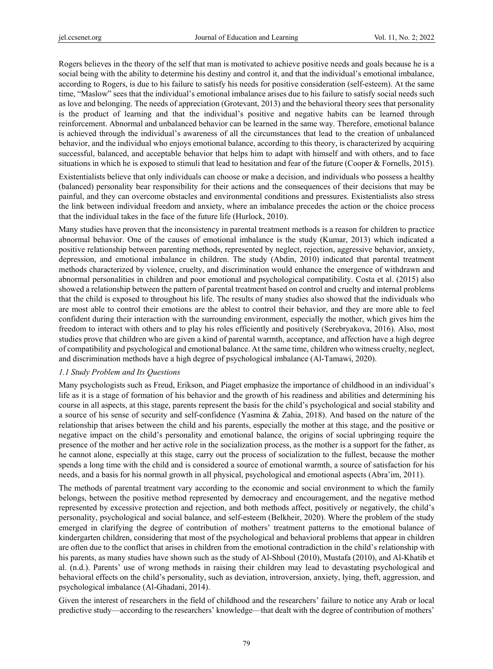Rogers believes in the theory of the self that man is motivated to achieve positive needs and goals because he is a social being with the ability to determine his destiny and control it, and that the individual's emotional imbalance, according to Rogers, is due to his failure to satisfy his needs for positive consideration (self-esteem). At the same time, "Maslow" sees that the individual's emotional imbalance arises due to his failure to satisfy social needs such as love and belonging. The needs of appreciation (Grotevant, 2013) and the behavioral theory sees that personality is the product of learning and that the individual's positive and negative habits can be learned through reinforcement. Abnormal and unbalanced behavior can be learned in the same way. Therefore, emotional balance is achieved through the individual's awareness of all the circumstances that lead to the creation of unbalanced behavior, and the individual who enjoys emotional balance, according to this theory, is characterized by acquiring successful, balanced, and acceptable behavior that helps him to adapt with himself and with others, and to face situations in which he is exposed to stimuli that lead to hesitation and fear of the future (Cooper & Fornells, 2015).

Existentialists believe that only individuals can choose or make a decision, and individuals who possess a healthy (balanced) personality bear responsibility for their actions and the consequences of their decisions that may be painful, and they can overcome obstacles and environmental conditions and pressures. Existentialists also stress the link between individual freedom and anxiety, where an imbalance precedes the action or the choice process that the individual takes in the face of the future life (Hurlock, 2010).

Many studies have proven that the inconsistency in parental treatment methods is a reason for children to practice abnormal behavior. One of the causes of emotional imbalance is the study (Kumar, 2013) which indicated a positive relationship between parenting methods, represented by neglect, rejection, aggressive behavior, anxiety, depression, and emotional imbalance in children. The study (Abdin, 2010) indicated that parental treatment methods characterized by violence, cruelty, and discrimination would enhance the emergence of withdrawn and abnormal personalities in children and poor emotional and psychological compatibility. Costa et al. (2015) also showed a relationship between the pattern of parental treatment based on control and cruelty and internal problems that the child is exposed to throughout his life. The results of many studies also showed that the individuals who are most able to control their emotions are the ablest to control their behavior, and they are more able to feel confident during their interaction with the surrounding environment, especially the mother, which gives him the freedom to interact with others and to play his roles efficiently and positively (Serebryakova, 2016). Also, most studies prove that children who are given a kind of parental warmth, acceptance, and affection have a high degree of compatibility and psychological and emotional balance. At the same time, children who witness cruelty, neglect, and discrimination methods have a high degree of psychological imbalance (Al-Tamawi, 2020).

#### *1.1 Study Problem and Its Questions*

Many psychologists such as Freud, Erikson, and Piaget emphasize the importance of childhood in an individual's life as it is a stage of formation of his behavior and the growth of his readiness and abilities and determining his course in all aspects, at this stage, parents represent the basis for the child's psychological and social stability and a source of his sense of security and self-confidence (Yasmina & Zahia, 2018). And based on the nature of the relationship that arises between the child and his parents, especially the mother at this stage, and the positive or negative impact on the child's personality and emotional balance, the origins of social upbringing require the presence of the mother and her active role in the socialization process, as the mother is a support for the father, as he cannot alone, especially at this stage, carry out the process of socialization to the fullest, because the mother spends a long time with the child and is considered a source of emotional warmth, a source of satisfaction for his needs, and a basis for his normal growth in all physical, psychological and emotional aspects (Abra'im, 2011).

The methods of parental treatment vary according to the economic and social environment to which the family belongs, between the positive method represented by democracy and encouragement, and the negative method represented by excessive protection and rejection, and both methods affect, positively or negatively, the child's personality, psychological and social balance, and self-esteem (Belkheir, 2020). Where the problem of the study emerged in clarifying the degree of contribution of mothers' treatment patterns to the emotional balance of kindergarten children, considering that most of the psychological and behavioral problems that appear in children are often due to the conflict that arises in children from the emotional contradiction in the child's relationship with his parents, as many studies have shown such as the study of Al-Shboul (2010), Mustafa (2010), and Al-Khatib et al. (n.d.). Parents' use of wrong methods in raising their children may lead to devastating psychological and behavioral effects on the child's personality, such as deviation, introversion, anxiety, lying, theft, aggression, and psychological imbalance (Al-Ghadani, 2014).

Given the interest of researchers in the field of childhood and the researchers' failure to notice any Arab or local predictive study—according to the researchers' knowledge—that dealt with the degree of contribution of mothers'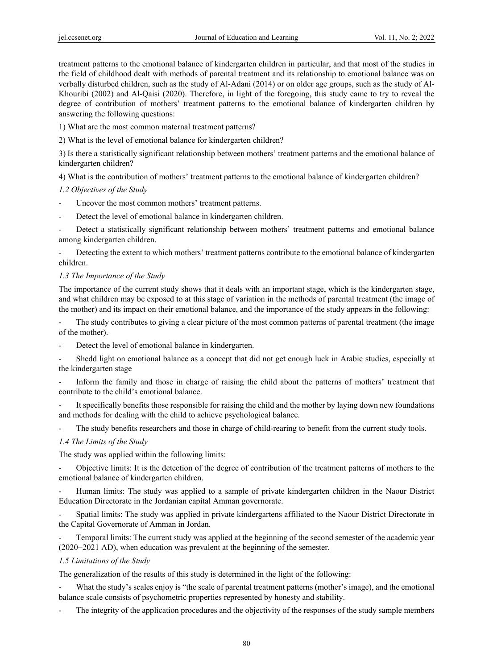treatment patterns to the emotional balance of kindergarten children in particular, and that most of the studies in the field of childhood dealt with methods of parental treatment and its relationship to emotional balance was on verbally disturbed children, such as the study of Al-Adani (2014) or on older age groups, such as the study of Al-Khouribi (2002) and Al-Qaisi (2020). Therefore, in light of the foregoing, this study came to try to reveal the degree of contribution of mothers' treatment patterns to the emotional balance of kindergarten children by answering the following questions:

1) What are the most common maternal treatment patterns?

2) What is the level of emotional balance for kindergarten children?

3) Is there a statistically significant relationship between mothers' treatment patterns and the emotional balance of kindergarten children?

4) What is the contribution of mothers' treatment patterns to the emotional balance of kindergarten children?

## *1.2 Objectives of the Study*

- Uncover the most common mothers' treatment patterns.
- Detect the level of emotional balance in kindergarten children.

Detect a statistically significant relationship between mothers' treatment patterns and emotional balance among kindergarten children.

Detecting the extent to which mothers' treatment patterns contribute to the emotional balance of kindergarten children.

## *1.3 The Importance of the Study*

The importance of the current study shows that it deals with an important stage, which is the kindergarten stage, and what children may be exposed to at this stage of variation in the methods of parental treatment (the image of the mother) and its impact on their emotional balance, and the importance of the study appears in the following:

The study contributes to giving a clear picture of the most common patterns of parental treatment (the image of the mother).

- Detect the level of emotional balance in kindergarten.
- Shedd light on emotional balance as a concept that did not get enough luck in Arabic studies, especially at the kindergarten stage

- Inform the family and those in charge of raising the child about the patterns of mothers' treatment that contribute to the child's emotional balance.

It specifically benefits those responsible for raising the child and the mother by laying down new foundations and methods for dealing with the child to achieve psychological balance.

The study benefits researchers and those in charge of child-rearing to benefit from the current study tools.

# *1.4 The Limits of the Study*

The study was applied within the following limits:

- Objective limits: It is the detection of the degree of contribution of the treatment patterns of mothers to the emotional balance of kindergarten children.

- Human limits: The study was applied to a sample of private kindergarten children in the Naour District Education Directorate in the Jordanian capital Amman governorate.

- Spatial limits: The study was applied in private kindergartens affiliated to the Naour District Directorate in the Capital Governorate of Amman in Jordan.

Temporal limits: The current study was applied at the beginning of the second semester of the academic year  $(2020-2021$  AD), when education was prevalent at the beginning of the semester.

#### *1.5 Limitations of the Study*

The generalization of the results of this study is determined in the light of the following:

What the study's scales enjoy is "the scale of parental treatment patterns (mother's image), and the emotional balance scale consists of psychometric properties represented by honesty and stability.

- The integrity of the application procedures and the objectivity of the responses of the study sample members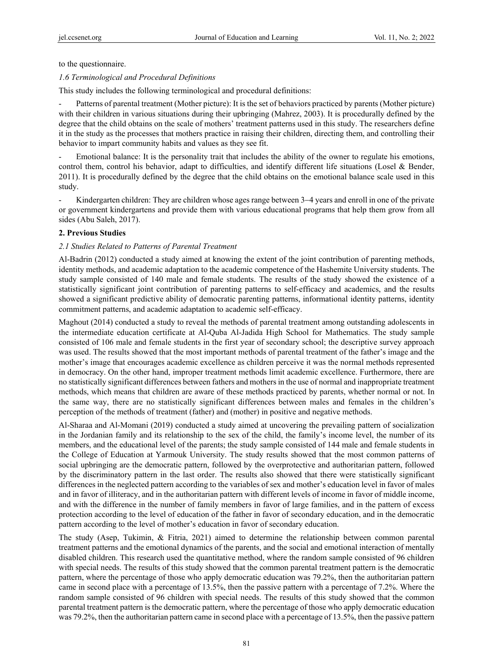to the questionnaire.

#### *1.6 Terminological and Procedural Definitions*

This study includes the following terminological and procedural definitions:

Patterns of parental treatment (Mother picture): It is the set of behaviors practiced by parents (Mother picture) with their children in various situations during their upbringing (Mahrez, 2003). It is procedurally defined by the degree that the child obtains on the scale of mothers' treatment patterns used in this study. The researchers define it in the study as the processes that mothers practice in raising their children, directing them, and controlling their behavior to impart community habits and values as they see fit.

Emotional balance: It is the personality trait that includes the ability of the owner to regulate his emotions, control them, control his behavior, adapt to difficulties, and identify different life situations (Losel & Bender, 2011). It is procedurally defined by the degree that the child obtains on the emotional balance scale used in this study.

Kindergarten children: They are children whose ages range between 3–4 years and enroll in one of the private or government kindergartens and provide them with various educational programs that help them grow from all sides (Abu Saleh, 2017).

#### **2. Previous Studies**

#### *2.1 Studies Related to Patterns of Parental Treatment*

Al-Badrin (2012) conducted a study aimed at knowing the extent of the joint contribution of parenting methods, identity methods, and academic adaptation to the academic competence of the Hashemite University students. The study sample consisted of 140 male and female students. The results of the study showed the existence of a statistically significant joint contribution of parenting patterns to self-efficacy and academics, and the results showed a significant predictive ability of democratic parenting patterns, informational identity patterns, identity commitment patterns, and academic adaptation to academic self-efficacy.

Maghout (2014) conducted a study to reveal the methods of parental treatment among outstanding adolescents in the intermediate education certificate at Al-Quba Al-Jadida High School for Mathematics. The study sample consisted of 106 male and female students in the first year of secondary school; the descriptive survey approach was used. The results showed that the most important methods of parental treatment of the father's image and the mother's image that encourages academic excellence as children perceive it was the normal methods represented in democracy. On the other hand, improper treatment methods limit academic excellence. Furthermore, there are no statistically significant differences between fathers and mothers in the use of normal and inappropriate treatment methods, which means that children are aware of these methods practiced by parents, whether normal or not. In the same way, there are no statistically significant differences between males and females in the children's perception of the methods of treatment (father) and (mother) in positive and negative methods.

Al-Sharaa and Al-Momani (2019) conducted a study aimed at uncovering the prevailing pattern of socialization in the Jordanian family and its relationship to the sex of the child, the family's income level, the number of its members, and the educational level of the parents; the study sample consisted of 144 male and female students in the College of Education at Yarmouk University. The study results showed that the most common patterns of social upbringing are the democratic pattern, followed by the overprotective and authoritarian pattern, followed by the discriminatory pattern in the last order. The results also showed that there were statistically significant differences in the neglected pattern according to the variables of sex and mother's education level in favor of males and in favor of illiteracy, and in the authoritarian pattern with different levels of income in favor of middle income, and with the difference in the number of family members in favor of large families, and in the pattern of excess protection according to the level of education of the father in favor of secondary education, and in the democratic pattern according to the level of mother's education in favor of secondary education.

The study (Asep, Tukimin, & Fitria, 2021) aimed to determine the relationship between common parental treatment patterns and the emotional dynamics of the parents, and the social and emotional interaction of mentally disabled children. This research used the quantitative method, where the random sample consisted of 96 children with special needs. The results of this study showed that the common parental treatment pattern is the democratic pattern, where the percentage of those who apply democratic education was 79.2%, then the authoritarian pattern came in second place with a percentage of 13.5%, then the passive pattern with a percentage of 7.2%. Where the random sample consisted of 96 children with special needs. The results of this study showed that the common parental treatment pattern is the democratic pattern, where the percentage of those who apply democratic education was 79.2%, then the authoritarian pattern came in second place with a percentage of 13.5%, then the passive pattern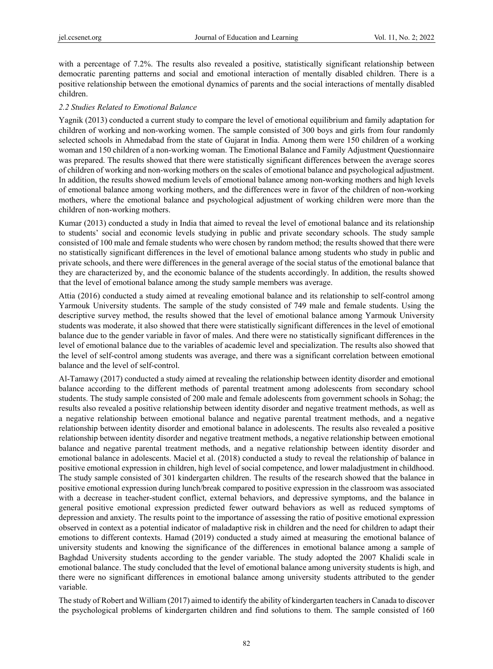with a percentage of 7.2%. The results also revealed a positive, statistically significant relationship between democratic parenting patterns and social and emotional interaction of mentally disabled children. There is a positive relationship between the emotional dynamics of parents and the social interactions of mentally disabled children.

#### *2.2 Studies Related to Emotional Balance*

Yagnik (2013) conducted a current study to compare the level of emotional equilibrium and family adaptation for children of working and non-working women. The sample consisted of 300 boys and girls from four randomly selected schools in Ahmedabad from the state of Gujarat in India. Among them were 150 children of a working woman and 150 children of a non-working woman. The Emotional Balance and Family Adjustment Questionnaire was prepared. The results showed that there were statistically significant differences between the average scores of children of working and non-working mothers on the scales of emotional balance and psychological adjustment. In addition, the results showed medium levels of emotional balance among non-working mothers and high levels of emotional balance among working mothers, and the differences were in favor of the children of non-working mothers, where the emotional balance and psychological adjustment of working children were more than the children of non-working mothers.

Kumar (2013) conducted a study in India that aimed to reveal the level of emotional balance and its relationship to students' social and economic levels studying in public and private secondary schools. The study sample consisted of 100 male and female students who were chosen by random method; the results showed that there were no statistically significant differences in the level of emotional balance among students who study in public and private schools, and there were differences in the general average of the social status of the emotional balance that they are characterized by, and the economic balance of the students accordingly. In addition, the results showed that the level of emotional balance among the study sample members was average.

Attia (2016) conducted a study aimed at revealing emotional balance and its relationship to self-control among Yarmouk University students. The sample of the study consisted of 749 male and female students. Using the descriptive survey method, the results showed that the level of emotional balance among Yarmouk University students was moderate, it also showed that there were statistically significant differences in the level of emotional balance due to the gender variable in favor of males. And there were no statistically significant differences in the level of emotional balance due to the variables of academic level and specialization. The results also showed that the level of self-control among students was average, and there was a significant correlation between emotional balance and the level of self-control.

Al-Tamawy (2017) conducted a study aimed at revealing the relationship between identity disorder and emotional balance according to the different methods of parental treatment among adolescents from secondary school students. The study sample consisted of 200 male and female adolescents from government schools in Sohag; the results also revealed a positive relationship between identity disorder and negative treatment methods, as well as a negative relationship between emotional balance and negative parental treatment methods, and a negative relationship between identity disorder and emotional balance in adolescents. The results also revealed a positive relationship between identity disorder and negative treatment methods, a negative relationship between emotional balance and negative parental treatment methods, and a negative relationship between identity disorder and emotional balance in adolescents. Maciel et al. (2018) conducted a study to reveal the relationship of balance in positive emotional expression in children, high level of social competence, and lower maladjustment in childhood. The study sample consisted of 301 kindergarten children. The results of the research showed that the balance in positive emotional expression during lunch/break compared to positive expression in the classroom was associated with a decrease in teacher-student conflict, external behaviors, and depressive symptoms, and the balance in general positive emotional expression predicted fewer outward behaviors as well as reduced symptoms of depression and anxiety. The results point to the importance of assessing the ratio of positive emotional expression observed in context as a potential indicator of maladaptive risk in children and the need for children to adapt their emotions to different contexts. Hamad (2019) conducted a study aimed at measuring the emotional balance of university students and knowing the significance of the differences in emotional balance among a sample of Baghdad University students according to the gender variable. The study adopted the 2007 Khalidi scale in emotional balance. The study concluded that the level of emotional balance among university students is high, and there were no significant differences in emotional balance among university students attributed to the gender variable.

The study of Robert and William (2017) aimed to identify the ability of kindergarten teachers in Canada to discover the psychological problems of kindergarten children and find solutions to them. The sample consisted of 160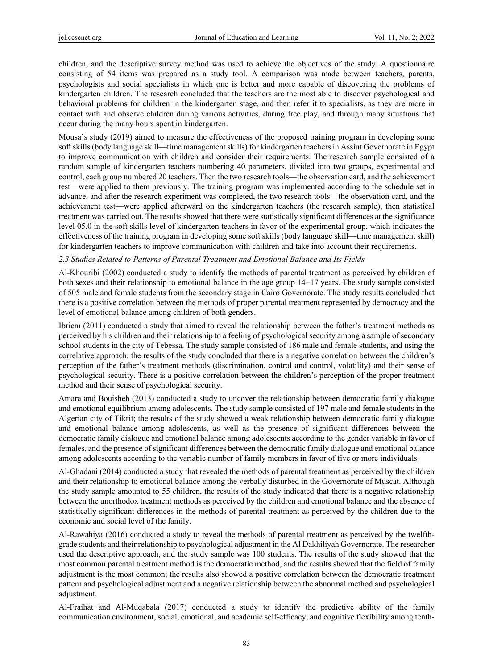children, and the descriptive survey method was used to achieve the objectives of the study. A questionnaire consisting of 54 items was prepared as a study tool. A comparison was made between teachers, parents, psychologists and social specialists in which one is better and more capable of discovering the problems of kindergarten children. The research concluded that the teachers are the most able to discover psychological and behavioral problems for children in the kindergarten stage, and then refer it to specialists, as they are more in contact with and observe children during various activities, during free play, and through many situations that occur during the many hours spent in kindergarten.

Mousa's study (2019) aimed to measure the effectiveness of the proposed training program in developing some soft skills (body language skill—time management skills) for kindergarten teachers in Assiut Governorate in Egypt to improve communication with children and consider their requirements. The research sample consisted of a random sample of kindergarten teachers numbering 40 parameters, divided into two groups, experimental and control, each group numbered 20 teachers. Then the two research tools—the observation card, and the achievement test—were applied to them previously. The training program was implemented according to the schedule set in advance, and after the research experiment was completed, the two research tools—the observation card, and the achievement test—were applied afterward on the kindergarten teachers (the research sample), then statistical treatment was carried out. The results showed that there were statistically significant differences at the significance level 05.0 in the soft skills level of kindergarten teachers in favor of the experimental group, which indicates the effectiveness of the training program in developing some soft skills (body language skill—time management skill) for kindergarten teachers to improve communication with children and take into account their requirements.

#### *2.3 Studies Related to Patterns of Parental Treatment and Emotional Balance and Its Fields*

Al-Khouribi (2002) conducted a study to identify the methods of parental treatment as perceived by children of both sexes and their relationship to emotional balance in the age group  $14-17$  years. The study sample consisted of 505 male and female students from the secondary stage in Cairo Governorate. The study results concluded that there is a positive correlation between the methods of proper parental treatment represented by democracy and the level of emotional balance among children of both genders.

Ibriem (2011) conducted a study that aimed to reveal the relationship between the father's treatment methods as perceived by his children and their relationship to a feeling of psychological security among a sample of secondary school students in the city of Tebessa. The study sample consisted of 186 male and female students, and using the correlative approach, the results of the study concluded that there is a negative correlation between the children's perception of the father's treatment methods (discrimination, control and control, volatility) and their sense of psychological security. There is a positive correlation between the children's perception of the proper treatment method and their sense of psychological security.

Amara and Bouisheh (2013) conducted a study to uncover the relationship between democratic family dialogue and emotional equilibrium among adolescents. The study sample consisted of 197 male and female students in the Algerian city of Tikrit; the results of the study showed a weak relationship between democratic family dialogue and emotional balance among adolescents, as well as the presence of significant differences between the democratic family dialogue and emotional balance among adolescents according to the gender variable in favor of females, and the presence of significant differences between the democratic family dialogue and emotional balance among adolescents according to the variable number of family members in favor of five or more individuals.

Al-Ghadani (2014) conducted a study that revealed the methods of parental treatment as perceived by the children and their relationship to emotional balance among the verbally disturbed in the Governorate of Muscat. Although the study sample amounted to 55 children, the results of the study indicated that there is a negative relationship between the unorthodox treatment methods as perceived by the children and emotional balance and the absence of statistically significant differences in the methods of parental treatment as perceived by the children due to the economic and social level of the family.

Al-Rawahiya (2016) conducted a study to reveal the methods of parental treatment as perceived by the twelfthgrade students and their relationship to psychological adjustment in the Al Dakhiliyah Governorate. The researcher used the descriptive approach, and the study sample was 100 students. The results of the study showed that the most common parental treatment method is the democratic method, and the results showed that the field of family adjustment is the most common; the results also showed a positive correlation between the democratic treatment pattern and psychological adjustment and a negative relationship between the abnormal method and psychological adjustment.

Al-Fraihat and Al-Muqabala (2017) conducted a study to identify the predictive ability of the family communication environment, social, emotional, and academic self-efficacy, and cognitive flexibility among tenth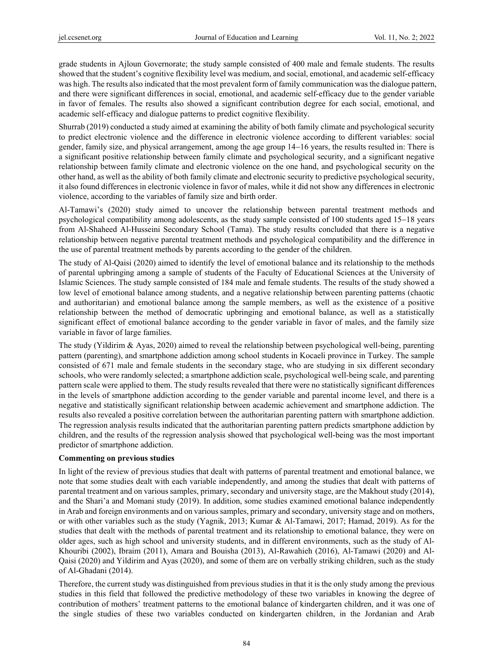grade students in Ajloun Governorate; the study sample consisted of 400 male and female students. The results showed that the student's cognitive flexibility level was medium, and social, emotional, and academic self-efficacy was high. The results also indicated that the most prevalent form of family communication was the dialogue pattern, and there were significant differences in social, emotional, and academic self-efficacy due to the gender variable in favor of females. The results also showed a significant contribution degree for each social, emotional, and academic self-efficacy and dialogue patterns to predict cognitive flexibility.

Shurrab (2019) conducted a study aimed at examining the ability of both family climate and psychological security to predict electronic violence and the difference in electronic violence according to different variables: social gender, family size, and physical arrangement, among the age group  $14-16$  years, the results resulted in: There is a significant positive relationship between family climate and psychological security, and a significant negative relationship between family climate and electronic violence on the one hand, and psychological security on the other hand, as well as the ability of both family climate and electronic security to predictive psychological security, it also found differences in electronic violence in favor of males, while it did not show any differences in electronic violence, according to the variables of family size and birth order.

Al-Tamawi's (2020) study aimed to uncover the relationship between parental treatment methods and psychological compatibility among adolescents, as the study sample consisted of  $100$  students aged  $15-18$  years from Al-Shaheed Al-Husseini Secondary School (Tama). The study results concluded that there is a negative relationship between negative parental treatment methods and psychological compatibility and the difference in the use of parental treatment methods by parents according to the gender of the children.

The study of Al-Qaisi (2020) aimed to identify the level of emotional balance and its relationship to the methods of parental upbringing among a sample of students of the Faculty of Educational Sciences at the University of Islamic Sciences. The study sample consisted of 184 male and female students. The results of the study showed a low level of emotional balance among students, and a negative relationship between parenting patterns (chaotic and authoritarian) and emotional balance among the sample members, as well as the existence of a positive relationship between the method of democratic upbringing and emotional balance, as well as a statistically significant effect of emotional balance according to the gender variable in favor of males, and the family size variable in favor of large families.

The study (Yildirim & Ayas, 2020) aimed to reveal the relationship between psychological well-being, parenting pattern (parenting), and smartphone addiction among school students in Kocaeli province in Turkey. The sample consisted of 671 male and female students in the secondary stage, who are studying in six different secondary schools, who were randomly selected; a smartphone addiction scale, psychological well-being scale, and parenting pattern scale were applied to them. The study results revealed that there were no statistically significant differences in the levels of smartphone addiction according to the gender variable and parental income level, and there is a negative and statistically significant relationship between academic achievement and smartphone addiction. The results also revealed a positive correlation between the authoritarian parenting pattern with smartphone addiction. The regression analysis results indicated that the authoritarian parenting pattern predicts smartphone addiction by children, and the results of the regression analysis showed that psychological well-being was the most important predictor of smartphone addiction.

# **Commenting on previous studies**

In light of the review of previous studies that dealt with patterns of parental treatment and emotional balance, we note that some studies dealt with each variable independently, and among the studies that dealt with patterns of parental treatment and on various samples, primary, secondary and university stage, are the Makhout study (2014), and the Shari'a and Momani study (2019). In addition, some studies examined emotional balance independently in Arab and foreign environments and on various samples, primary and secondary, university stage and on mothers, or with other variables such as the study (Yagnik, 2013; Kumar & Al-Tamawi, 2017; Hamad, 2019). As for the studies that dealt with the methods of parental treatment and its relationship to emotional balance, they were on older ages, such as high school and university students, and in different environments, such as the study of Al-Khouribi (2002), Ibraim (2011), Amara and Bouisha (2013), Al-Rawahieh (2016), Al-Tamawi (2020) and Al-Qaisi (2020) and Yildirim and Ayas (2020), and some of them are on verbally striking children, such as the study of Al-Ghadani (2014).

Therefore, the current study was distinguished from previous studies in that it is the only study among the previous studies in this field that followed the predictive methodology of these two variables in knowing the degree of contribution of mothers' treatment patterns to the emotional balance of kindergarten children, and it was one of the single studies of these two variables conducted on kindergarten children, in the Jordanian and Arab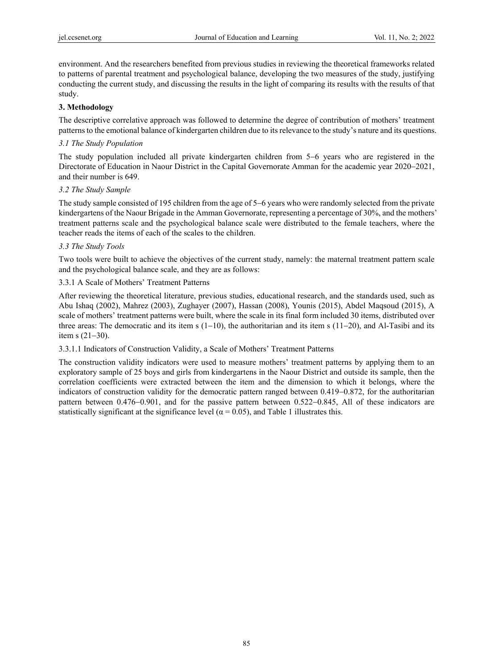environment. And the researchers benefited from previous studies in reviewing the theoretical frameworks related to patterns of parental treatment and psychological balance, developing the two measures of the study, justifying conducting the current study, and discussing the results in the light of comparing its results with the results of that study.

### **3. Methodology**

The descriptive correlative approach was followed to determine the degree of contribution of mothers' treatment patterns to the emotional balance of kindergarten children due to its relevance to the study's nature and its questions.

## *3.1 The Study Population*

The study population included all private kindergarten children from 5–6 years who are registered in the Directorate of Education in Naour District in the Capital Governorate Amman for the academic year 2020–2021, and their number is 649.

## *3.2 The Study Sample*

The study sample consisted of 195 children from the age of 5–6 years who were randomly selected from the private kindergartens of the Naour Brigade in the Amman Governorate, representing a percentage of 30%, and the mothers' treatment patterns scale and the psychological balance scale were distributed to the female teachers, where the teacher reads the items of each of the scales to the children.

## *3.3 The Study Tools*

Two tools were built to achieve the objectives of the current study, namely: the maternal treatment pattern scale and the psychological balance scale, and they are as follows:

## 3.3.1 A Scale of Mothers' Treatment Patterns

After reviewing the theoretical literature, previous studies, educational research, and the standards used, such as Abu Ishaq (2002), Mahrez (2003), Zughayer (2007), Hassan (2008), Younis (2015), Abdel Maqsoud (2015), A scale of mothers' treatment patterns were built, where the scale in its final form included 30 items, distributed over three areas: The democratic and its item s  $(1-10)$ , the authoritarian and its item s  $(11-20)$ , and Al-Tasibi and its item s  $(21-30)$ .

#### 3.3.1.1 Indicators of Construction Validity, a Scale of Mothers' Treatment Patterns

The construction validity indicators were used to measure mothers' treatment patterns by applying them to an exploratory sample of 25 boys and girls from kindergartens in the Naour District and outside its sample, then the correlation coefficients were extracted between the item and the dimension to which it belongs, where the indicators of construction validity for the democratic pattern ranged between  $0.419-0.872$ , for the authoritarian pattern between  $0.476-0.901$ , and for the passive pattern between  $0.522-0.845$ , All of these indicators are statistically significant at the significance level ( $\alpha$  = 0.05), and Table 1 illustrates this.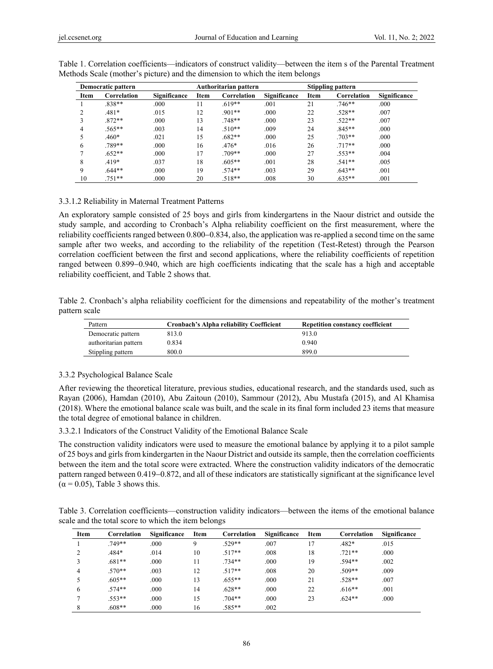| Democratic pattern |             |                     |      | Authoritarian pattern |              |      | <b>Stippling pattern</b> |                     |  |
|--------------------|-------------|---------------------|------|-----------------------|--------------|------|--------------------------|---------------------|--|
| Item               | Correlation | <b>Significance</b> | Item | Correlation           | Significance | Item | Correlation              | <b>Significance</b> |  |
|                    | $.838**$    | .000                | 11   | $.619**$              | .001         | 21   | $.746**$                 | .000                |  |
| $\mathcal{L}$      | $.481*$     | .015                | 12   | $.901**$              | .000         | 22   | $.528**$                 | .007                |  |
| 3                  | $.872**$    | .000                | 13   | $.748**$              | .000         | 23   | $.522**$                 | .007                |  |
| 4                  | $.565**$    | .003                | 14   | $.510**$              | .009         | 24   | $.845**$                 | .000                |  |
|                    | $.460*$     | .021                | 15   | $.682**$              | .000         | 25   | $.703**$                 | .000                |  |
| 6                  | .789**      | .000                | 16   | $.476*$               | .016         | 26   | $.717**$                 | .000                |  |
|                    | $.652**$    | .000                | 17   | $.709**$              | .000         | 27   | $.553**$                 | .004                |  |
| 8                  | $.419*$     | .037                | 18   | $.605**$              | .001         | 28   | $.541**$                 | .005                |  |
| 9                  | $.644**$    | .000                | 19   | $.574**$              | .003         | 29   | $.643**$                 | .001                |  |
| 10                 | $.751**$    | .000                | 20   | $.518**$              | .008         | 30   | $.635**$                 | .001                |  |

Table 1. Correlation coefficients—indicators of construct validity—between the item s of the Parental Treatment Methods Scale (mother's picture) and the dimension to which the item belongs

#### 3.3.1.2 Reliability in Maternal Treatment Patterns

An exploratory sample consisted of 25 boys and girls from kindergartens in the Naour district and outside the study sample, and according to Cronbach's Alpha reliability coefficient on the first measurement, where the reliability coefficients ranged between  $0.800-0.834$ , also, the application was re-applied a second time on the same sample after two weeks, and according to the reliability of the repetition (Test-Retest) through the Pearson correlation coefficient between the first and second applications, where the reliability coefficients of repetition ranged between 0.899-0.940, which are high coefficients indicating that the scale has a high and acceptable reliability coefficient, and Table 2 shows that.

Table 2. Cronbach's alpha reliability coefficient for the dimensions and repeatability of the mother's treatment pattern scale

| Pattern               | Cronbach's Alpha reliability Coefficient | <b>Repetition constancy coefficient</b> |
|-----------------------|------------------------------------------|-----------------------------------------|
| Democratic pattern    | 813.0                                    | 913.0                                   |
| authoritarian pattern | 0.834                                    | 0.940                                   |
| Stippling pattern     | 800.0                                    | 899.0                                   |

#### 3.3.2 Psychological Balance Scale

After reviewing the theoretical literature, previous studies, educational research, and the standards used, such as Rayan (2006), Hamdan (2010), Abu Zaitoun (2010), Sammour (2012), Abu Mustafa (2015), and Al Khamisa (2018). Where the emotional balance scale was built, and the scale in its final form included 23 items that measure the total degree of emotional balance in children.

3.3.2.1 Indicators of the Construct Validity of the Emotional Balance Scale

The construction validity indicators were used to measure the emotional balance by applying it to a pilot sample of 25 boys and girls from kindergarten in the Naour District and outside its sample, then the correlation coefficients between the item and the total score were extracted. Where the construction validity indicators of the democratic pattern ranged between 0.419–0.872, and all of these indicators are statistically significant at the significance level  $(\alpha = 0.05)$ , Table 3 shows this.

Table 3. Correlation coefficients—construction validity indicators—between the items of the emotional balance scale and the total score to which the item belongs

| Item | Correlation | <b>Significance</b> | Item | Correlation | Significance | Item | Correlation | Significance |
|------|-------------|---------------------|------|-------------|--------------|------|-------------|--------------|
|      | $.749**$    | .000                | 9    | $.529**$    | .007         | 17   | $.482*$     | .015         |
|      | $.484*$     | .014                | 10   | $.517**$    | .008         | 18   | $.721**$    | .000         |
|      | $.681**$    | .000                | 11   | $.734**$    | .000         | 19   | $.594**$    | .002         |
| 4    | $.570**$    | .003                | 12   | $.517**$    | .008         | 20   | $.509**$    | .009         |
|      | $.605**$    | .000                | 13   | $.655***$   | .000         | 21   | $.528**$    | .007         |
| 6    | $.574**$    | .000                | 14   | $.628**$    | .000         | 22   | $.616**$    | .001         |
|      | $.553**$    | .000                | 15   | $.704**$    | .000         | 23   | $.624**$    | .000         |
|      | $.608**$    | .000                | 16   | $.585**$    | .002         |      |             |              |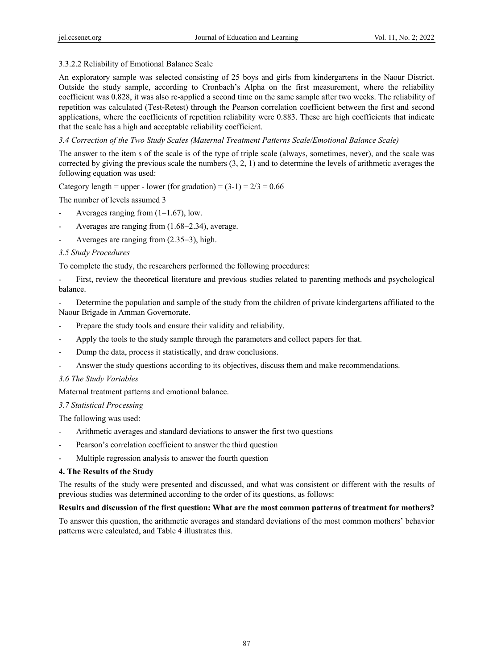# 3.3.2.2 Reliability of Emotional Balance Scale

An exploratory sample was selected consisting of 25 boys and girls from kindergartens in the Naour District. Outside the study sample, according to Cronbach's Alpha on the first measurement, where the reliability coefficient was 0.828, it was also re-applied a second time on the same sample after two weeks. The reliability of repetition was calculated (Test-Retest) through the Pearson correlation coefficient between the first and second applications, where the coefficients of repetition reliability were 0.883. These are high coefficients that indicate that the scale has a high and acceptable reliability coefficient.

# *3.4 Correction of the Two Study Scales (Maternal Treatment Patterns Scale/Emotional Balance Scale)*

The answer to the item s of the scale is of the type of triple scale (always, sometimes, never), and the scale was corrected by giving the previous scale the numbers (3, 2, 1) and to determine the levels of arithmetic averages the following equation was used:

Category length = upper - lower (for gradation) =  $(3-1) = 2/3 = 0.66$ 

The number of levels assumed 3

- Averages ranging from  $(1-1.67)$ , low.
- Averages are ranging from  $(1.68-2.34)$ , average.
- Averages are ranging from  $(2.35-3)$ , high.

# *3.5 Study Procedures*

To complete the study, the researchers performed the following procedures:

- First, review the theoretical literature and previous studies related to parenting methods and psychological balance.

Determine the population and sample of the study from the children of private kindergartens affiliated to the Naour Brigade in Amman Governorate.

- Prepare the study tools and ensure their validity and reliability.
- Apply the tools to the study sample through the parameters and collect papers for that.
- Dump the data, process it statistically, and draw conclusions.
- Answer the study questions according to its objectives, discuss them and make recommendations.

# *3.6 The Study Variables*

Maternal treatment patterns and emotional balance.

#### *3.7 Statistical Processing*

The following was used:

- Arithmetic averages and standard deviations to answer the first two questions
- Pearson's correlation coefficient to answer the third question
- Multiple regression analysis to answer the fourth question

#### **4. The Results of the Study**

The results of the study were presented and discussed, and what was consistent or different with the results of previous studies was determined according to the order of its questions, as follows:

#### **Results and discussion of the first question: What are the most common patterns of treatment for mothers?**

To answer this question, the arithmetic averages and standard deviations of the most common mothers' behavior patterns were calculated, and Table 4 illustrates this.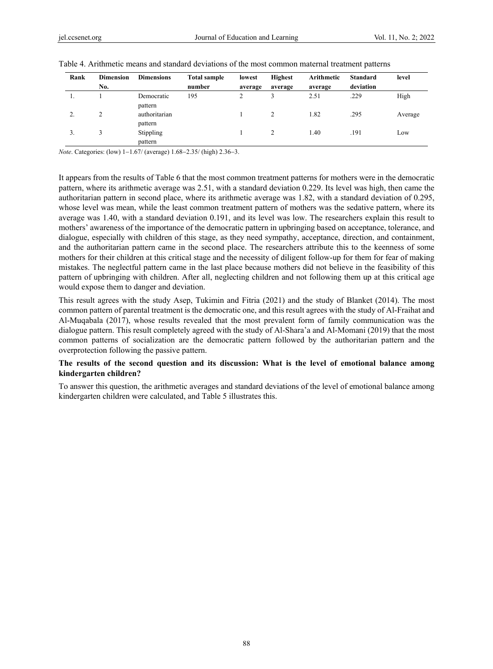| Rank | <b>Dimension</b> | <b>Dimensions</b>        | <b>Total sample</b> | lowest  | <b>Highest</b> | Arithmetic | <b>Standard</b> | level   |
|------|------------------|--------------------------|---------------------|---------|----------------|------------|-----------------|---------|
|      | No.              |                          | number              | average | average        | average    | deviation       |         |
| .,   |                  | Democratic<br>pattern    | 195                 |         |                | 2.51       | .229            | High    |
|      |                  | authoritarian<br>pattern |                     |         |                | 1.82       | .295            | Average |
| 3.   |                  | Stippling<br>pattern     |                     |         |                | l.40       | .191            | Low     |

| Table 4. Arithmetic means and standard deviations of the most common maternal treatment patterns |  |
|--------------------------------------------------------------------------------------------------|--|
|--------------------------------------------------------------------------------------------------|--|

*Note*. Categories: (low) 1-1.67/ (average) 1.68-2.35/ (high) 2.36-3.

It appears from the results of Table 6 that the most common treatment patterns for mothers were in the democratic pattern, where its arithmetic average was 2.51, with a standard deviation 0.229. Its level was high, then came the authoritarian pattern in second place, where its arithmetic average was 1.82, with a standard deviation of 0.295, whose level was mean, while the least common treatment pattern of mothers was the sedative pattern, where its average was 1.40, with a standard deviation 0.191, and its level was low. The researchers explain this result to mothers' awareness of the importance of the democratic pattern in upbringing based on acceptance, tolerance, and dialogue, especially with children of this stage, as they need sympathy, acceptance, direction, and containment, and the authoritarian pattern came in the second place. The researchers attribute this to the keenness of some mothers for their children at this critical stage and the necessity of diligent follow-up for them for fear of making mistakes. The neglectful pattern came in the last place because mothers did not believe in the feasibility of this pattern of upbringing with children. After all, neglecting children and not following them up at this critical age would expose them to danger and deviation.

This result agrees with the study Asep, Tukimin and Fitria (2021) and the study of Blanket (2014). The most common pattern of parental treatment is the democratic one, and this result agrees with the study of Al-Fraihat and Al-Muqabala (2017), whose results revealed that the most prevalent form of family communication was the dialogue pattern. This result completely agreed with the study of Al-Shara'a and Al-Momani (2019) that the most common patterns of socialization are the democratic pattern followed by the authoritarian pattern and the overprotection following the passive pattern.

# **The results of the second question and its discussion: What is the level of emotional balance among kindergarten children?**

To answer this question, the arithmetic averages and standard deviations of the level of emotional balance among kindergarten children were calculated, and Table 5 illustrates this.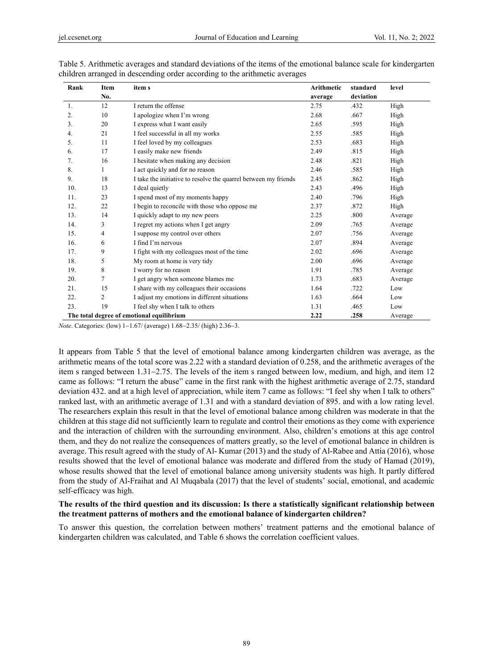| Rank | Item           | item s                                                          | Arithmetic | standard  | level   |
|------|----------------|-----------------------------------------------------------------|------------|-----------|---------|
|      | No.            |                                                                 | average    | deviation |         |
| 1.   | 12             | I return the offense                                            | 2.75       | .432      | High    |
| 2.   | 10             | I apologize when I'm wrong                                      | 2.68       | .667      | High    |
| 3.   | 20             | I express what I want easily                                    | 2.65       | .595      | High    |
| 4.   | 21             | I feel successful in all my works                               | 2.55       | .585      | High    |
| 5.   | 11             | I feel loved by my colleagues                                   | 2.53       | .683      | High    |
| 6.   | 17             | I easily make new friends                                       | 2.49       | .815      | High    |
| 7.   | 16             | I hesitate when making any decision                             | 2.48       | .821      | High    |
| 8.   | 1              | I act quickly and for no reason                                 | 2.46       | .585      | High    |
| 9.   | 18             | I take the initiative to resolve the quarrel between my friends | 2.45       | .862      | High    |
| 10.  | 13             | I deal quietly                                                  | 2.43       | .496      | High    |
| 11.  | 23             | I spend most of my moments happy                                | 2.40       | .796      | High    |
| 12.  | 22             | I begin to reconcile with those who oppose me                   | 2.37       | .872      | High    |
| 13.  | 14             | I quickly adapt to my new peers                                 | 2.25       | .800      | Average |
| 14.  | 3              | I regret my actions when I get angry                            | 2.09       | .765      | Average |
| 15.  | 4              | I suppose my control over others                                | 2.07       | .756      | Average |
| 16.  | 6              | I find I'm nervous                                              | 2.07       | .894      | Average |
| 17.  | 9              | I fight with my colleagues most of the time                     | 2.02       | .696      | Average |
| 18.  | 5              | My room at home is very tidy                                    | 2.00       | .696      | Average |
| 19.  | 8              | I worry for no reason                                           | 1.91       | .785      | Average |
| 20.  | 7              | I get angry when someone blames me                              | 1.73       | .683      | Average |
| 21.  | 15             | I share with my colleagues their occasions                      | 1.64       | .722      | Low     |
| 22.  | $\overline{c}$ | I adjust my emotions in different situations                    | 1.63       | .664      | Low     |
| 23.  | 19             | I feel shy when I talk to others                                | 1.31       | .465      | Low     |
|      |                | The total degree of emotional equilibrium                       | 2.22       | .258      | Average |

Table 5. Arithmetic averages and standard deviations of the items of the emotional balance scale for kindergarten children arranged in descending order according to the arithmetic averages

*Note*. Categories: (low) 1-1.67/ (average) 1.68-2.35/ (high) 2.36-3.

It appears from Table 5 that the level of emotional balance among kindergarten children was average, as the arithmetic means of the total score was 2.22 with a standard deviation of 0.258, and the arithmetic averages of the item s ranged between 1.31–2.75. The levels of the item s ranged between low, medium, and high, and item 12 came as follows: "I return the abuse" came in the first rank with the highest arithmetic average of 2.75, standard deviation 432. and at a high level of appreciation, while item 7 came as follows: "I feel shy when I talk to others" ranked last, with an arithmetic average of 1.31 and with a standard deviation of 895. and with a low rating level. The researchers explain this result in that the level of emotional balance among children was moderate in that the children at this stage did not sufficiently learn to regulate and control their emotions as they come with experience and the interaction of children with the surrounding environment. Also, children's emotions at this age control them, and they do not realize the consequences of matters greatly, so the level of emotional balance in children is average. This result agreed with the study of Al- Kumar (2013) and the study of Al-Rabee and Attia (2016), whose results showed that the level of emotional balance was moderate and differed from the study of Hamad (2019), whose results showed that the level of emotional balance among university students was high. It partly differed from the study of Al-Fraihat and Al Muqabala (2017) that the level of students' social, emotional, and academic self-efficacy was high.

### **The results of the third question and its discussion: Is there a statistically significant relationship between the treatment patterns of mothers and the emotional balance of kindergarten children?**

To answer this question, the correlation between mothers' treatment patterns and the emotional balance of kindergarten children was calculated, and Table 6 shows the correlation coefficient values.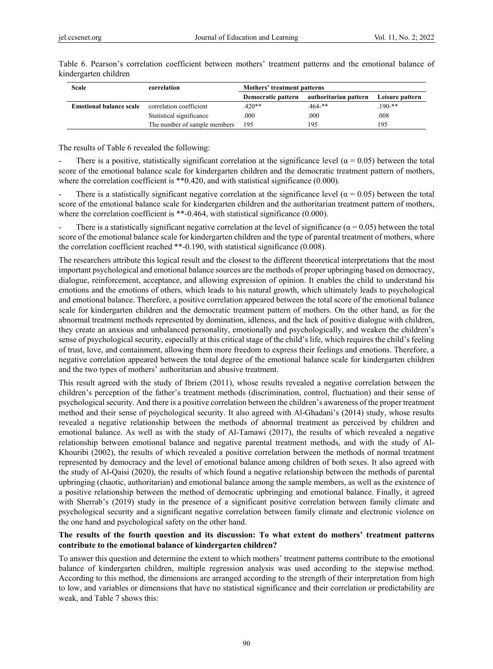| Scale                          | correlation                  | Mothers' treatment patterns |                       |                 |  |  |  |
|--------------------------------|------------------------------|-----------------------------|-----------------------|-----------------|--|--|--|
|                                |                              | Democratic pattern          | authoritarian pattern | Leisure pattern |  |  |  |
| <b>Emotional balance scale</b> | correlation coefficient      | $.420**$                    | .464-**               | $190$ -**       |  |  |  |
|                                | Statistical significance     | .000                        | .000                  | .008            |  |  |  |
|                                | The number of sample members | 195                         | 195                   | 195             |  |  |  |

Table 6. Pearson's correlation coefficient between mothers' treatment patterns and the emotional balance of kindergarten children

The results of Table 6 revealed the following:

There is a positive, statistically significant correlation at the significance level ( $\alpha$  = 0.05) between the total score of the emotional balance scale for kindergarten children and the democratic treatment pattern of mothers, where the correlation coefficient is \*\*0.420, and with statistical significance (0.000).

There is a statistically significant negative correlation at the significance level ( $\alpha$  = 0.05) between the total score of the emotional balance scale for kindergarten children and the authoritarian treatment pattern of mothers, where the correlation coefficient is \*\*-0.464, with statistical significance (0.000).

There is a statistically significant negative correlation at the level of significance ( $\alpha$  = 0.05) between the total score of the emotional balance scale for kindergarten children and the type of parental treatment of mothers, where the correlation coefficient reached \*\*-0.190, with statistical significance (0.008).

The researchers attribute this logical result and the closest to the different theoretical interpretations that the most important psychological and emotional balance sources are the methods of proper upbringing based on democracy, dialogue, reinforcement, acceptance, and allowing expression of opinion. It enables the child to understand his emotions and the emotions of others, which leads to his natural growth, which ultimately leads to psychological and emotional balance. Therefore, a positive correlation appeared between the total score of the emotional balance scale for kindergarten children and the democratic treatment pattern of mothers. On the other hand, as for the abnormal treatment methods represented by domination, idleness, and the lack of positive dialogue with children, they create an anxious and unbalanced personality, emotionally and psychologically, and weaken the children's sense of psychological security, especially at this critical stage of the child's life, which requires the child's feeling of trust, love, and containment, allowing them more freedom to express their feelings and emotions. Therefore, a negative correlation appeared between the total degree of the emotional balance scale for kindergarten children and the two types of mothers' authoritarian and abusive treatment.

This result agreed with the study of Ibriem (2011), whose results revealed a negative correlation between the children's perception of the father's treatment methods (discrimination, control, fluctuation) and their sense of psychological security. And there is a positive correlation between the children's awareness of the proper treatment method and their sense of psychological security. It also agreed with Al-Ghadani's (2014) study, whose results revealed a negative relationship between the methods of abnormal treatment as perceived by children and emotional balance. As well as with the study of Al-Tamawi (2017), the results of which revealed a negative relationship between emotional balance and negative parental treatment methods, and with the study of Al-Khouribi (2002), the results of which revealed a positive correlation between the methods of normal treatment represented by democracy and the level of emotional balance among children of both sexes. It also agreed with the study of Al-Qaisi (2020), the results of which found a negative relationship between the methods of parental upbringing (chaotic, authoritarian) and emotional balance among the sample members, as well as the existence of a positive relationship between the method of democratic upbringing and emotional balance. Finally, it agreed with Sherrab's (2019) study in the presence of a significant positive correlation between family climate and psychological security and a significant negative correlation between family climate and electronic violence on the one hand and psychological safety on the other hand.

# **The results of the fourth question and its discussion: To what extent do mothers' treatment patterns contribute to the emotional balance of kindergarten children?**

To answer this question and determine the extent to which mothers' treatment patterns contribute to the emotional balance of kindergarten children, multiple regression analysis was used according to the stepwise method. According to this method, the dimensions are arranged according to the strength of their interpretation from high to low, and variables or dimensions that have no statistical significance and their correlation or predictability are weak, and Table 7 shows this: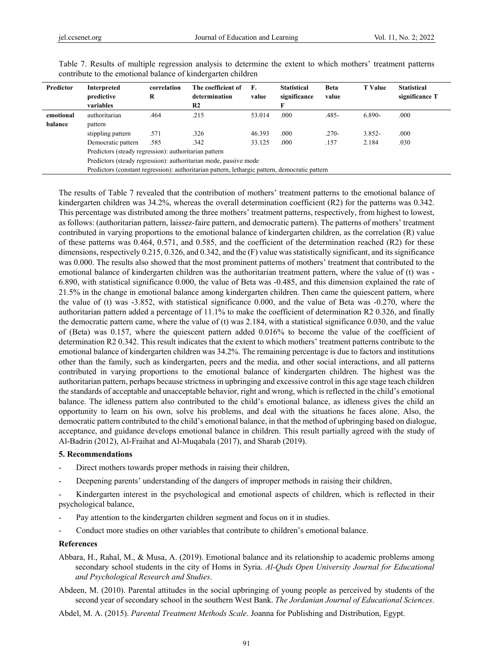| Predictor | Interpreted<br>predictive                                        | correlation<br>R | The coefficient of<br>determination                                                            | F.<br>value | <b>Statistical</b><br>significance | <b>Beta</b><br>value | <b>T</b> Value | <b>Statistical</b><br>significance T |  |
|-----------|------------------------------------------------------------------|------------------|------------------------------------------------------------------------------------------------|-------------|------------------------------------|----------------------|----------------|--------------------------------------|--|
|           | variables                                                        |                  | R <sub>2</sub>                                                                                 |             |                                    |                      |                |                                      |  |
| emotional | authoritarian                                                    | .464             | .215                                                                                           | 53.014      | .000                               | $.485-$              | 6.890-         | .000                                 |  |
| balance   | pattern                                                          |                  |                                                                                                |             |                                    |                      |                |                                      |  |
|           | stippling pattern                                                | .571             | .326                                                                                           | 46.393      | .000                               | $.270-$              | $3.852 -$      | .000                                 |  |
|           | Democratic pattern                                               | .585             | .342                                                                                           | 33.125      | .000                               | .157                 | 2.184          | .030                                 |  |
|           | Predictors (steady regression): authoritarian pattern            |                  |                                                                                                |             |                                    |                      |                |                                      |  |
|           | Predictors (steady regression): authoritarian mode, passive mode |                  |                                                                                                |             |                                    |                      |                |                                      |  |
|           |                                                                  |                  | Predictors (constant regression): authoritarian pattern, lethargic pattern, democratic pattern |             |                                    |                      |                |                                      |  |

Table 7. Results of multiple regression analysis to determine the extent to which mothers' treatment patterns contribute to the emotional balance of kindergarten children

The results of Table 7 revealed that the contribution of mothers' treatment patterns to the emotional balance of kindergarten children was 34.2%, whereas the overall determination coefficient (R2) for the patterns was 0.342. This percentage was distributed among the three mothers' treatment patterns, respectively, from highest to lowest, as follows: (authoritarian pattern, laissez-faire pattern, and democratic pattern). The patterns of mothers' treatment contributed in varying proportions to the emotional balance of kindergarten children, as the correlation (R) value of these patterns was 0.464, 0.571, and 0.585, and the coefficient of the determination reached (R2) for these dimensions, respectively 0.215, 0.326, and 0.342, and the (F) value was statistically significant, and its significance was 0.000. The results also showed that the most prominent patterns of mothers' treatment that contributed to the emotional balance of kindergarten children was the authoritarian treatment pattern, where the value of (t) was - 6.890, with statistical significance 0.000, the value of Beta was -0.485, and this dimension explained the rate of 21.5% in the change in emotional balance among kindergarten children. Then came the quiescent pattern, where the value of (t) was -3.852, with statistical significance 0.000, and the value of Beta was -0.270, where the authoritarian pattern added a percentage of 11.1% to make the coefficient of determination R2 0.326, and finally the democratic pattern came, where the value of (t) was 2.184, with a statistical significance 0.030, and the value of (Beta) was 0.157, where the quiescent pattern added 0.016% to become the value of the coefficient of determination R2 0.342. This result indicates that the extent to which mothers' treatment patterns contribute to the emotional balance of kindergarten children was 34.2%. The remaining percentage is due to factors and institutions other than the family, such as kindergarten, peers and the media, and other social interactions, and all patterns contributed in varying proportions to the emotional balance of kindergarten children. The highest was the authoritarian pattern, perhaps because strictness in upbringing and excessive control in this age stage teach children the standards of acceptable and unacceptable behavior, right and wrong, which is reflected in the child's emotional balance. The idleness pattern also contributed to the child's emotional balance, as idleness gives the child an opportunity to learn on his own, solve his problems, and deal with the situations he faces alone. Also, the democratic pattern contributed to the child's emotional balance, in that the method of upbringing based on dialogue, acceptance, and guidance develops emotional balance in children. This result partially agreed with the study of Al-Badrin (2012), Al-Fraihat and Al-Muqabala (2017), and Sharab (2019).

#### **5. Recommendations**

- Direct mothers towards proper methods in raising their children,
- Deepening parents' understanding of the dangers of improper methods in raising their children,

Kindergarten interest in the psychological and emotional aspects of children, which is reflected in their psychological balance,

- Pay attention to the kindergarten children segment and focus on it in studies.
- Conduct more studies on other variables that contribute to children's emotional balance.

#### **References**

- Abbara, H., Rahal, M., & Musa, A. (2019). Emotional balance and its relationship to academic problems among secondary school students in the city of Homs in Syria. *Al-Quds Open University Journal for Educational and Psychological Research and Studies*.
- Abdeen, M. (2010). Parental attitudes in the social upbringing of young people as perceived by students of the second year of secondary school in the southern West Bank. *The Jordanian Journal of Educational Sciences*.

Abdel, M. A. (2015). *Parental Treatment Methods Scale*. Joanna for Publishing and Distribution, Egypt.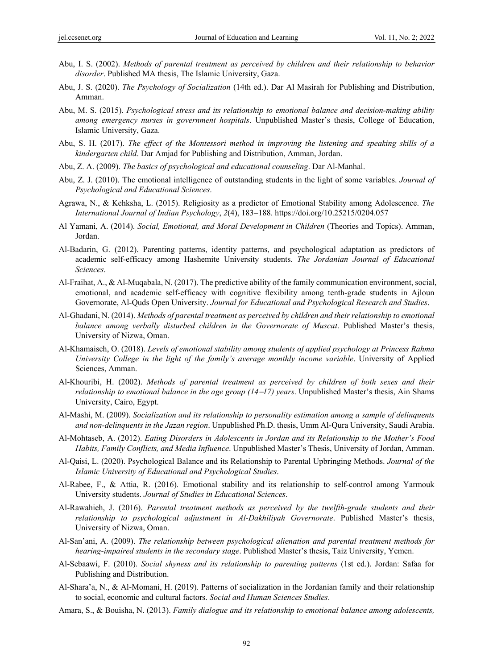- Abu, I. S. (2002). *Methods of parental treatment as perceived by children and their relationship to behavior disorder*. Published MA thesis, The Islamic University, Gaza.
- Abu, J. S. (2020). *The Psychology of Socialization* (14th ed.). Dar Al Masirah for Publishing and Distribution, Amman.
- Abu, M. S. (2015). *Psychological stress and its relationship to emotional balance and decision-making ability among emergency nurses in government hospitals*. Unpublished Master's thesis, College of Education, Islamic University, Gaza.
- Abu, S. H. (2017). *The effect of the Montessori method in improving the listening and speaking skills of a kindergarten child*. Dar Amjad for Publishing and Distribution, Amman, Jordan.
- Abu, Z. A. (2009). *The basics of psychological and educational counseling*. Dar Al-Manhal.
- Abu, Z. J. (2010). The emotional intelligence of outstanding students in the light of some variables. *Journal of Psychological and Educational Sciences*.
- Agrawa, N., & Kehksha, L. (2015). Religiosity as a predictor of Emotional Stability among Adolescence. *The International Journal of Indian Psychology, 2(4), 183–188. https://doi.org/10.25215/0204.057*
- Al Yamani, A. (2014). *Social, Emotional, and Moral Development in Children* (Theories and Topics). Amman, Jordan.
- Al-Badarin, G. (2012). Parenting patterns, identity patterns, and psychological adaptation as predictors of academic self-efficacy among Hashemite University students. *The Jordanian Journal of Educational Sciences*.
- Al-Fraihat, A., & Al-Muqabala, N. (2017). The predictive ability of the family communication environment, social, emotional, and academic self-efficacy with cognitive flexibility among tenth-grade students in Ajloun Governorate, Al-Quds Open University. *Journal for Educational and Psychological Research and Studies*.
- Al-Ghadani, N. (2014). *Methods of parental treatment as perceived by children and their relationship to emotional balance among verbally disturbed children in the Governorate of Muscat*. Published Master's thesis, University of Nizwa, Oman.
- Al-Khamaiseh, O. (2018). *Levels of emotional stability among students of applied psychology at Princess Rahma University College in the light of the family's average monthly income variable*. University of Applied Sciences, Amman.
- Al-Khouribi, H. (2002). *Methods of parental treatment as perceived by children of both sexes and their relationship to emotional balance in the age group (1417) years*. Unpublished Master's thesis, Ain Shams University, Cairo, Egypt.
- Al-Mashi, M. (2009). *Socialization and its relationship to personality estimation among a sample of delinquents and non-delinquents in the Jazan region*. Unpublished Ph.D. thesis, Umm Al-Qura University, Saudi Arabia.
- Al-Mohtaseb, A. (2012). *Eating Disorders in Adolescents in Jordan and its Relationship to the Mother's Food Habits, Family Conflicts, and Media Influence*. Unpublished Master's Thesis, University of Jordan, Amman.
- Al-Qaisi, L. (2020). Psychological Balance and its Relationship to Parental Upbringing Methods. *Journal of the Islamic University of Educational and Psychological Studies*.
- Al-Rabee, F., & Attia, R. (2016). Emotional stability and its relationship to self-control among Yarmouk University students. *Journal of Studies in Educational Sciences*.
- Al-Rawahieh, J. (2016). *Parental treatment methods as perceived by the twelfth-grade students and their relationship to psychological adjustment in Al-Dakhiliyah Governorate*. Published Master's thesis, University of Nizwa, Oman.
- Al-San'ani, A. (2009). *The relationship between psychological alienation and parental treatment methods for hearing-impaired students in the secondary stage*. Published Master's thesis, Taiz University, Yemen.
- Al-Sebaawi, F. (2010). *Social shyness and its relationship to parenting patterns* (1st ed.). Jordan: Safaa for Publishing and Distribution.
- Al-Shara'a, N., & Al-Momani, H. (2019). Patterns of socialization in the Jordanian family and their relationship to social, economic and cultural factors. *Social and Human Sciences Studies*.
- Amara, S., & Bouisha, N. (2013). *Family dialogue and its relationship to emotional balance among adolescents,*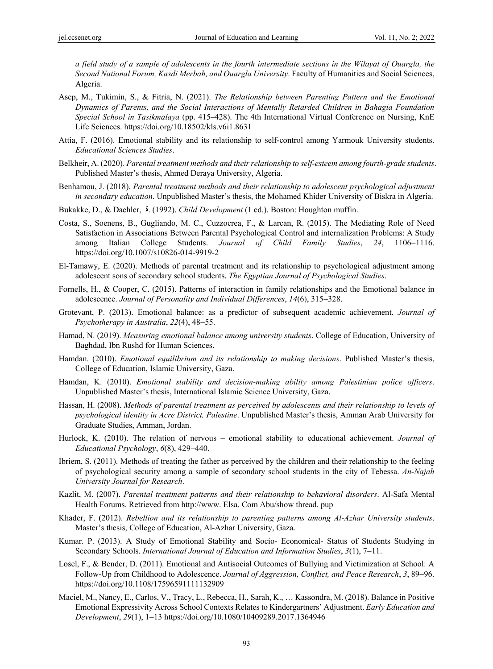*a field study of a sample of adolescents in the fourth intermediate sections in the Wilayat of Ouargla, the Second National Forum, Kasdi Merbah, and Ouargla University*. Faculty of Humanities and Social Sciences, Algeria.

- Asep, M., Tukimin, S., & Fitria, N. (2021). *The Relationship between Parenting Pattern and the Emotional Dynamics of Parents, and the Social Interactions of Mentally Retarded Children in Bahagia Foundation Special School in Tasikmalaya* (pp. 415–428). The 4th International Virtual Conference on Nursing, KnE Life Sciences. https://doi.org/10.18502/kls.v6i1.8631
- Attia, F. (2016). Emotional stability and its relationship to self-control among Yarmouk University students. *Educational Sciences Studies*.
- Belkheir, A. (2020). *Parental treatment methods and their relationship to self-esteem among fourth-grade students*. Published Master's thesis, Ahmed Deraya University, Algeria.
- Benhamou, J. (2018). *Parental treatment methods and their relationship to adolescent psychological adjustment in secondary education*. Unpublished Master's thesis, the Mohamed Khider University of Biskra in Algeria.
- Bukakke, D., & Daehler,  $\dot{\bm{\theta}}$ . (1992). *Child Development* (1 ed.). Boston: Houghton muffin.
- Costa, S., Soenens, B., Gugliando, M. C., Cuzzocrea, F., & Larcan, R. (2015). The Mediating Role of Need Satisfaction in Associations Between Parental Psychological Control and internalization Problems: A Study among Italian College Students. *Journal of Child Family Studies*, 24, 1106–1116. https://doi.org/10.1007/s10826-014-9919-2
- El-Tamawy, E. (2020). Methods of parental treatment and its relationship to psychological adjustment among adolescent sons of secondary school students. *The Egyptian Journal of Psychological Studies*.
- Fornells, H., & Cooper, C. (2015). Patterns of interaction in family relationships and the Emotional balance in adolescence. *Journal of Personality and Individual Differences*,  $14(6)$ ,  $315-328$ .
- Grotevant, P. (2013). Emotional balance: as a predictor of subsequent academic achievement. *Journal of Psychotherapy in Australia*, 22(4), 48–55.
- Hamad, N. (2019). *Measuring emotional balance among university students*. College of Education, University of Baghdad, Ibn Rushd for Human Sciences.
- Hamdan. (2010). *Emotional equilibrium and its relationship to making decisions*. Published Master's thesis, College of Education, Islamic University, Gaza.
- Hamdan, K. (2010). *Emotional stability and decision-making ability among Palestinian police officers*. Unpublished Master's thesis, International Islamic Science University, Gaza.
- Hassan, H. (2008). *Methods of parental treatment as perceived by adolescents and their relationship to levels of psychological identity in Acre District, Palestine*. Unpublished Master's thesis, Amman Arab University for Graduate Studies, Amman, Jordan.
- Hurlock, K. (2010). The relation of nervous emotional stability to educational achievement. *Journal of Educational Psychology*,  $6(8)$ , 429-440.
- Ibriem, S. (2011). Methods of treating the father as perceived by the children and their relationship to the feeling of psychological security among a sample of secondary school students in the city of Tebessa. *An-Najah University Journal for Research*.
- Kazlit, M. (2007). *Parental treatment patterns and their relationship to behavioral disorders*. Al-Safa Mental Health Forums. Retrieved from http://www. Elsa. Com Abu/show thread. pup
- Khader, F. (2012). *Rebellion and its relationship to parenting patterns among Al-Azhar University students*. Master's thesis, College of Education, Al-Azhar University, Gaza.
- Kumar. P. (2013). A Study of Emotional Stability and Socio- Economical- Status of Students Studying in Secondary Schools. *International Journal of Education and Information Studies*,  $3(1)$ ,  $7-11$ .
- Losel, F., & Bender, D. (2011). Emotional and Antisocial Outcomes of Bullying and Victimization at School: A Follow-Up from Childhood to Adolescence. Journal of Aggression, Conflict, and Peace Research, 3, 89-96. https://doi.org/10.1108/17596591111132909
- Maciel, M., Nancy, E., Carlos, V., Tracy, L., Rebecca, H., Sarah, K., … Kassondra, M. (2018). Balance in Positive Emotional Expressivity Across School Contexts Relates to Kindergartners' Adjustment. *Early Education and Development*, 29(1), 1-13 https://doi.org/10.1080/10409289.2017.1364946